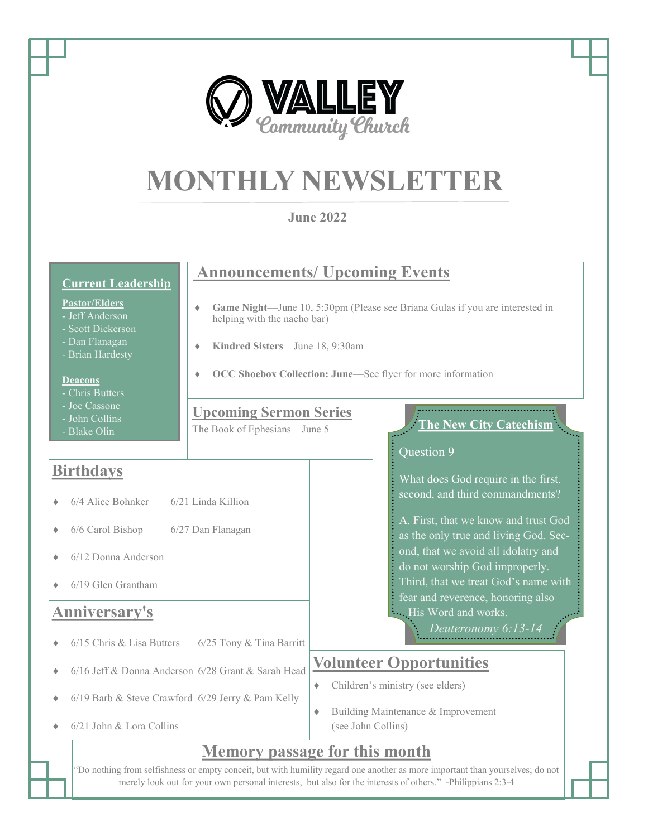

◆ 6/21 John & Lora Collins

## **Memory passage for this month**

(see John Collins)

"Do nothing from selfishness or empty conceit, but with humility regard one another as more important than yourselves; do not merely look out for your own personal interests, but also for the interests of others." -Philippians 2:3-4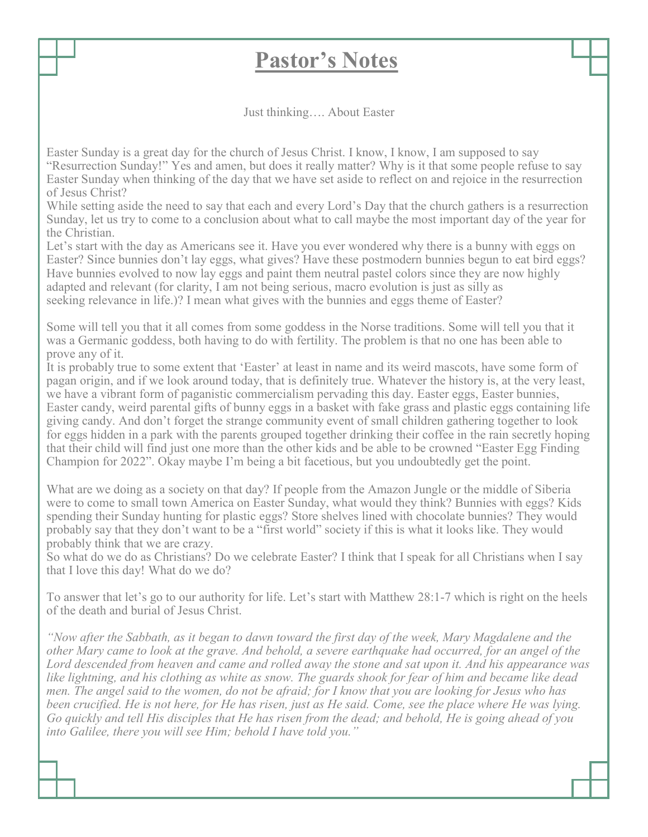## **Pastor's Notes**

Just thinking…. About Easter

Easter Sunday is a great day for the church of Jesus Christ. I know, I know, I am supposed to say "Resurrection Sunday!" Yes and amen, but does it really matter? Why is it that some people refuse to say Easter Sunday when thinking of the day that we have set aside to reflect on and rejoice in the resurrection of Jesus Christ?

While setting aside the need to say that each and every Lord's Day that the church gathers is a resurrection Sunday, let us try to come to a conclusion about what to call maybe the most important day of the year for the Christian.

Let's start with the day as Americans see it. Have you ever wondered why there is a bunny with eggs on Easter? Since bunnies don't lay eggs, what gives? Have these postmodern bunnies begun to eat bird eggs? Have bunnies evolved to now lay eggs and paint them neutral pastel colors since they are now highly adapted and relevant (for clarity, I am not being serious, macro evolution is just as silly as seeking relevance in life.)? I mean what gives with the bunnies and eggs theme of Easter?

Some will tell you that it all comes from some goddess in the Norse traditions. Some will tell you that it was a Germanic goddess, both having to do with fertility. The problem is that no one has been able to prove any of it.

It is probably true to some extent that 'Easter' at least in name and its weird mascots, have some form of pagan origin, and if we look around today, that is definitely true. Whatever the history is, at the very least, we have a vibrant form of paganistic commercialism pervading this day. Easter eggs, Easter bunnies, Easter candy, weird parental gifts of bunny eggs in a basket with fake grass and plastic eggs containing life giving candy. And don't forget the strange community event of small children gathering together to look for eggs hidden in a park with the parents grouped together drinking their coffee in the rain secretly hoping that their child will find just one more than the other kids and be able to be crowned "Easter Egg Finding Champion for 2022". Okay maybe I'm being a bit facetious, but you undoubtedly get the point.

What are we doing as a society on that day? If people from the Amazon Jungle or the middle of Siberia were to come to small town America on Easter Sunday, what would they think? Bunnies with eggs? Kids spending their Sunday hunting for plastic eggs? Store shelves lined with chocolate bunnies? They would probably say that they don't want to be a "first world" society if this is what it looks like. They would probably think that we are crazy.

So what do we do as Christians? Do we celebrate Easter? I think that I speak for all Christians when I say that I love this day! What do we do?

To answer that let's go to our authority for life. Let's start with Matthew 28:1-7 which is right on the heels of the death and burial of Jesus Christ.

*"Now after the Sabbath, as it began to dawn toward the first day of the week, Mary Magdalene and the other Mary came to look at the grave. And behold, a severe earthquake had occurred, for an angel of the Lord descended from heaven and came and rolled away the stone and sat upon it. And his appearance was like lightning, and his clothing as white as snow. The guards shook for fear of him and became like dead men. The angel said to the women, do not be afraid; for I know that you are looking for Jesus who has been crucified. He is not here, for He has risen, just as He said. Come, see the place where He was lying. Go quickly and tell His disciples that He has risen from the dead; and behold, He is going ahead of you into Galilee, there you will see Him; behold I have told you."*